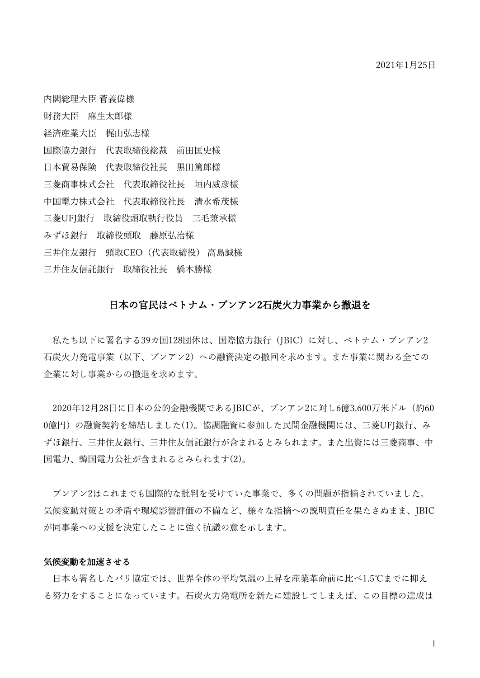内閣総理大臣 菅義偉様 財務大臣 麻生太郎様 経済産業大臣 梶山弘志様 国際協力銀行 代表取締役総裁 前田匡史様 日本貿易保険 代表取締役社長 黒田篤郎様 三菱商事株式会社 代表取締役社長 垣内威彦様 中国電力株式会社 代表取締役社長 清水希茂様 三菱UFJ銀行 取締役頭取執行役員 三毛兼承様 みずほ銀行 取締役頭取 藤原弘治様 三井住友銀行 頭取CEO(代表取締役) 高島誠様 三井住友信託銀行 取締役社長 橋本勝様

#### 日本の官民はベトナム・ブンアン2石炭火力事業から撤退を

私たち以下に署名する39カ国128団体は、国際協力銀行(JBIC)に対し、ベトナム・ブンアン2 石炭火力発電事業(以下、ブンアン2)への融資決定の撤回を求めます。また事業に関わる全ての 企業に対し事業からの撤退を求めます。

2020年12月28日に日本の公的金融機関であるJBICが、ブンアン2に対し6億3,600万米ドル(約60 0億円)の融資契約を締結しました(1)。協調融資に参加した民間金融機関には、三菱UFJ銀行、み ずほ銀行、三井住友銀行、三井住友信託銀行が含まれるとみられます。また出資には三菱商事、中 国電力、韓国電力公社が含まれるとみられます(2)。

ブンアン2はこれまでも国際的な批判を受けていた事業で、多くの問題が指摘されていました。 気候変動対策との矛盾や環境影響評価の不備など、様々な指摘への説明責任を果たさぬまま、JBIC が同事業への支援を決定したことに強く抗議の意を示します。

#### 気候変動を加速させる

日本も署名したパリ協定では、世界全体の平均気温の上昇を産業革命前に比べ1.5℃までに抑え る努力をすることになっています。石炭火力発電所を新たに建設してしまえば、この目標の達成は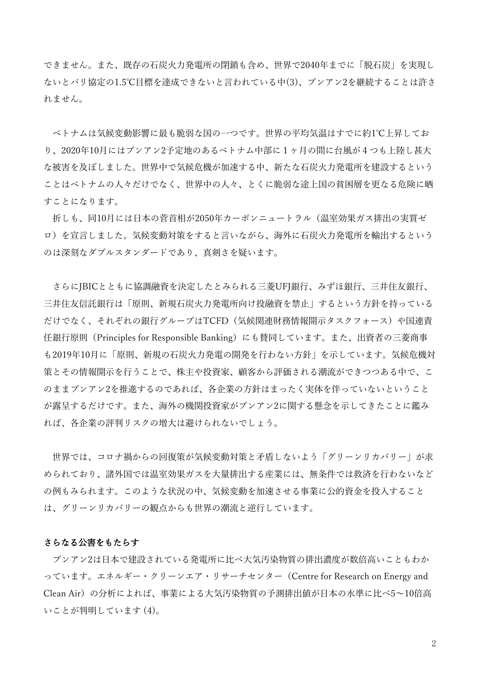できません。また、既存の石炭火力発電所の閉鎖も含め、世界で2040年までに「脱石炭」を実現し ないとパリ協定の1.5℃目標を達成できないと言われている中(3)、ブンアン2を継続することは許さ れません。

ベトナムは気候変動影響に最も脆弱な国の一つです。世界の平均気温はすでに約1℃上昇してお り、2020年10月にはブンアン2予定地のあるベトナム中部に1ヶ月の間に台風が4つも上陸し甚大 な被害を及ぼしました。世界中で気候危機が加速する中、新たな石炭火力発電所を建設するという ことはベトナムの人々だけでなく、世界中の人々、とくに脆弱な途上国の貧困層を更なる危険に晒 すことになります。

折しも、同10月には日本の菅首相が2050年カーボンニュートラル(温室効果ガス排出の実質ゼ ロ)を宣言しました。気候変動対策をすると言いながら、海外に石炭火力発電所を輸出するという のは深刻なダブルスタンダードであり、真剣さを疑います。

さらにJBICとともに協調融資を決定したとみられる三菱UFJ銀行、みずほ銀行、三井住友銀行、 三井住友信託銀行は「原則、新規石炭火力発電所向け投融資を禁止」するという方針を持っている だけでなく、それぞれの銀行グループはTCFD(気候関連財務情報開示タスクフォース)や国連責 任銀行原則(Principles for Responsible Banking)にも賛同しています。また、出資者の三菱商事 も2019年10月に「原則、新規の石炭火力発電の開発を行わない方針」を示しています。気候危機対 策とその情報開示を行うことで、株主や投資家、顧客から評価される潮流ができつつある中で、こ のままブンアン2を推進するのであれば、各企業の方針はまったく実体を伴っていないということ が露呈するだけです。また、海外の機関投資家がブンアン2に関する懸念を示してきたことに鑑み れば、各企業の評判リスクの増大は避けられないでしょう。

世界では、コロナ禍からの回復策が気候変動対策と矛盾しないよう「グリーンリカバリー」が求 められており、諸外国では温室効果ガスを大量排出する産業には、無条件では救済を行わないなど の例もみられます。このような状況の中、気候変動を加速させる事業に公的資金を投入すること は、グリーンリカバリーの観点からも世界の潮流と逆行しています。

#### さらなる公害をもたらす

ブンアン2は日本で建設されている発電所に比べ大気汚染物質の排出濃度が数倍高いこともわか っています。エネルギー・クリーンエア・リサーチセンター(Centre for Research on Energy and Clean Air)の分析によれば、事業による大気汚染物質の予測排出値が日本の水準に比べ5~10倍高 いことが判明しています (4)。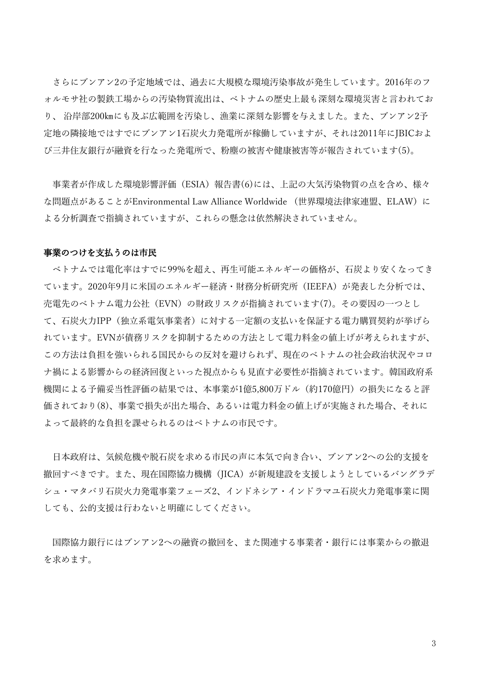さらにブンアン2の予定地域では、過去に大規模な環境汚染事故が発生しています。2016年のフ ォルモサ社の製鉄工場からの汚染物質流出は、ベトナムの歴史上最も深刻な環境災害と言われてお り、 沿岸部200㎞にも及ぶ広範囲を汚染し、漁業に深刻な影響を与えました。また、ブンアン2予 定地の隣接地ではすでにブンアン1石炭火力発電所が稼働していますが、それは2011年にJBICおよ び三井住友銀行が融資を行なった発電所で、粉塵の被害や健康被害等が報告されています(5)。

事業者が作成した環境影響評価(ESIA)報告書(6)には、上記の大気汚染物質の点を含め、様々 な問題点があることがEnvironmental Law Alliance Worldwide (世界環境法律家連盟、ELAW)に よる分析調査で指摘されていますが、これらの懸念は依然解決されていません。

#### 事業のつけを支払うのは市民

ベトナムでは電化率はすでに99%を超え、再生可能エネルギーの価格が、石炭より安くなってき ています。2020年9月に米国のエネルギー経済・財務分析研究所 (IEEFA) が発表した分析では、 売電先のベトナム電力公社 (EVN) の財政リスクが指摘されています(7)。その要因の一つとし て、石炭火力IPP(独立系電気事業者)に対する一定額の支払いを保証する電力購買契約が挙げら れています。EVNが債務リスクを抑制するための⽅法として電⼒料⾦の値上げが考えられますが、 この方法は負担を強いられる国民からの反対を避けられず、現在のベトナムの社会政治状況やコロ ナ禍による影響からの経済回復といった視点からも⾒直す必要性が指摘されています。韓国政府系 機関による予備妥当性評価の結果では、本事業が1億5,800万ドル(約170億円)の損失になると評 価されており(8)、事業で損失が出た場合、あるいは電力料金の値上げが実施された場合、それに よって最終的な負担を課せられるのはベトナムの市⺠です。

日本政府は、気候危機や脱石炭を求める市民の声に本気で向き合い、ブンアン2への公的支援を 撤回すべきです。また、現在国際協力機構(JICA)が新規建設を支援しようとしているバングラデ シュ・マタバリ石炭火力発電事業フェーズ2、インドネシア・インドラマユ石炭火力発電事業に関 しても、公的支援は行わないと明確にしてください。

国際協力銀行にはブンアン2への融資の撤回を、また関連する事業者・銀行には事業からの撤退 を求めます。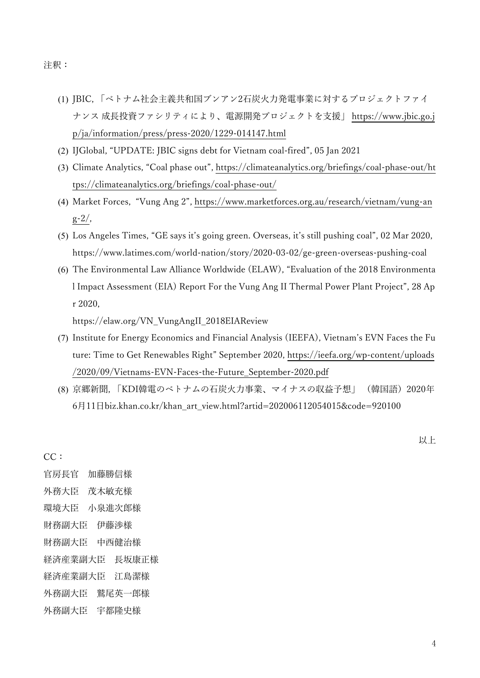注釈:

- (1) JBIC, 「ベトナム社会主義共和国ブンアン2石炭火力発電事業に対するプロジェクトファイ ナンス 成長投資ファシリティにより、電源開発プロジェクトを支援」 [https://www.jbic.go.j](https://www.jbic.go.jp/ja/information/press/press-2020/1229-014147.html) [p/ja/information/press/press-2020/1229-014147.html](https://www.jbic.go.jp/ja/information/press/press-2020/1229-014147.html)
- (2) IJGlobal, "UPDATE: JBIC signs debt for Vietnam coal-fired", 05 Jan 2021
- (3) Climate Analytics, "Coal phase out", [https://climateanalytics.org/briefings/coal-phase-out/ht](https://climateanalytics.org/briefings/coal-phase-out/https:/climateanalytics.org/briefings/coal-phase-out/) [tps://climateanalytics.org/briefings/coal-phase-out/](https://climateanalytics.org/briefings/coal-phase-out/https:/climateanalytics.org/briefings/coal-phase-out/)
- (4) Market Forces, "Vung Ang 2", [https://www.marketforces.org.au/research/vietnam/vung-an](https://www.marketforces.org.au/research/vietnam/vung-ang-2/) [g-2/,](https://www.marketforces.org.au/research/vietnam/vung-ang-2/)
- (5) Los Angeles Times, "GE says it's going green. Overseas, it's still pushing coal", 02 Mar 2020, https://www.latimes.com/world-nation/story/2020-03-02/ge-green-overseas-pushing-coal
- (6) The Environmental Law Alliance Worldwide (ELAW), "Evaluation of the 2018 Environmenta l Impact Assessment (EIA) Report For the Vung Ang II Thermal Power Plant Project", 28 Ap r 2020,

https://elaw.org/VN\_VungAngII\_2018EIAReview

- (7) Institute for Energy Economics and Financial Analysis (IEEFA), Vietnam's EVN Faces the Fu ture: Time to Get Renewables Right" September 2020, [https://ieefa.org/wp-content/uploads](https://ieefa.org/wp-content/uploads/2020/09/Vietnams-EVN-Faces-the-Future_September-2020.pdf) [/2020/09/Vietnams-EVN-Faces-the-Future\\_September-2020.pdf](https://ieefa.org/wp-content/uploads/2020/09/Vietnams-EVN-Faces-the-Future_September-2020.pdf)
- (8) 京郷新聞, 「KDI韓電のベトナムの⽯炭⽕⼒事業、マイナスの収益予想」 (韓国語)2020年 6⽉11⽇biz.khan.co.kr/khan\_art\_view.html?artid=202006112054015&code=920100

以上

官房長官 加藤勝信様 外務大臣 茂木敏充様 環境大臣 小泉進次郎様 財務副大臣 伊藤渉様 財務副大臣 中西健治様 経済産業副大臣 長坂康正様 経済産業副大臣 江島潔様 外務副大臣 鷲尾英一郎様 外務副大臣 宇都隆史様

CC: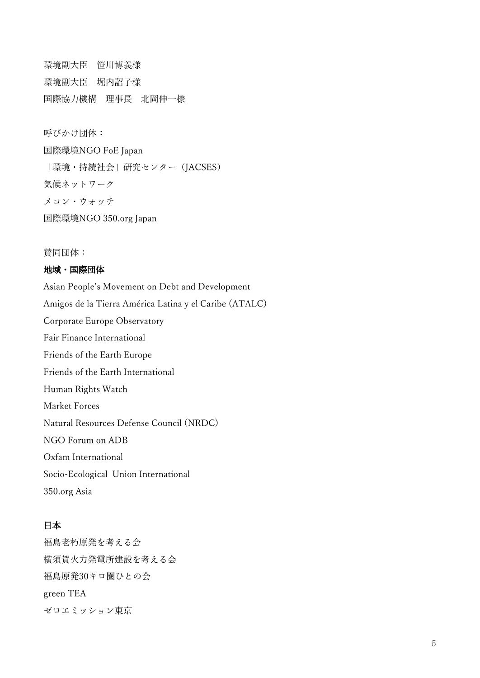環境副大臣 笹川博義様 環境副大臣 堀内詔子様 国際協力機構 理事長 北岡伸一様

呼びかけ団体:

国際環境NGO FoE Japan 「環境・持続社会」研究センター(JACSES) 気候ネットワーク メコン・ウォッチ 国際環境NGO 350.org Japan

賛同団体:

### 地域・国際団体

Asian People's Movement on Debt and Development Amigos de la Tierra América Latina y el Caribe (ATALC) Corporate Europe Observatory Fair Finance International Friends of the Earth Europe Friends of the Earth International Human Rights Watch Market Forces Natural Resources Defense Council (NRDC) NGO Forum on ADB Oxfam International Socio-Ecological Union International 350.org Asia

# 日本

福島老朽原発を考える会 横須賀火力発電所建設を考える会 福島原発30キロ圏ひとの会 green TEA ゼロエミッション東京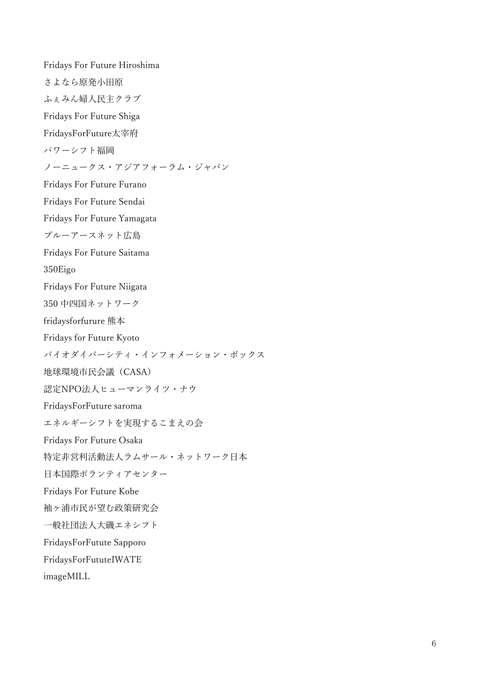Fridays For Future Hiroshima さよなら原発小田原 ふぇみん婦人民主クラブ Fridays For Future Shiga FridaysForFuture太宰府 パワーシフト福岡 ノーニュークス・アジアフォーラム・ジャパン Fridays For Future Furano Fridays For Future Sendai Fridays For Future Yamagata ブルーアースネット広島 Fridays For Future Saitama 350Eigo Fridays For Future Niigata 350 中四国ネットワーク fridaysforfurure 熊本 Fridays for Future Kyoto バイオダイバーシティ・インフォメーション・ボックス 地球環境市民会議(CASA) 認定NPO法人ヒューマンライツ・ナウ FridaysForFuture saroma エネルギーシフトを実現するこまえの会 Fridays For Future Osaka 特定非営利活動法人ラムサール・ネットワーク日本 日本国際ボランティアセンター Fridays For Future Kobe 袖ヶ浦市民が望む政策研究会 一般社団法人大磯エネシフト FridaysForFutute Sapporo FridaysForFututeIWATE imageMILL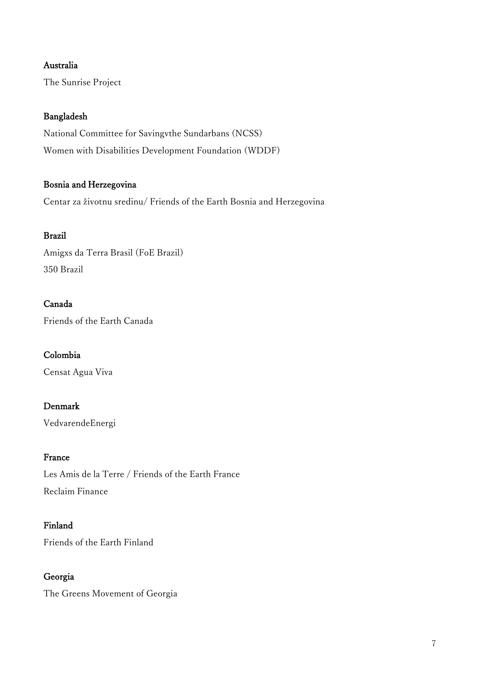# Australia

The Sunrise Project

### Bangladesh

National Committee for Savingvthe Sundarbans (NCSS) Women with Disabilities Development Foundation (WDDF)

# Bosnia and Herzegovina

Centar za životnu sredinu/ Friends of the Earth Bosnia and Herzegovina

# Brazil

Amigxs da Terra Brasil (FoE Brazil) 350 Brazil

# Canada

Friends of the Earth Canada

### Colombia

Censat Agua Viva

# Denmark

VedvarendeEnergi

### France

Les Amis de la Terre / Friends of the Earth France Reclaim Finance

### Finland

Friends of the Earth Finland

# Georgia

The Greens Movement of Georgia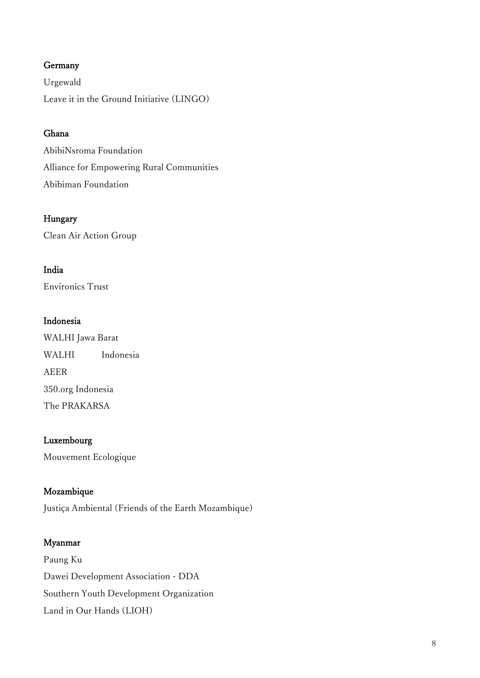# Germany

Urgewald Leave it in the Ground Initiative (LINGO)

# Ghana

AbibiNsroma Foundation Alliance for Empowering Rural Communities Abibiman Foundation

### Hungary

Clean Air Action Group

### India

Environics Trust

### Indonesia

WALHI Jawa Barat WALHI Indonesia AEER 350.org Indonesia The PRAKARSA

#### Luxembourg

Mouvement Ecologique

### Mozambique

Justiça Ambiental (Friends of the Earth Mozambique)

#### Myanmar

Paung Ku Dawei Development Association - DDA Southern Youth Development Organization Land in Our Hands (LIOH)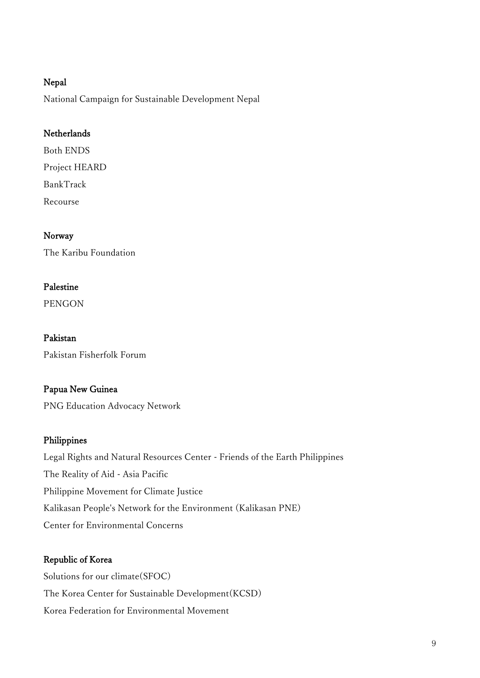### Nepal

National Campaign for Sustainable Development Nepal

# **Netherlands**

Both ENDS Project HEARD BankTrack Recourse

# Norway

The Karibu Foundation

# Palestine

PENGON

Pakistan Pakistan Fisherfolk Forum

# Papua New Guinea

PNG Education Advocacy Network

# Philippines

Legal Rights and Natural Resources Center - Friends of the Earth Philippines The Reality of Aid - Asia Pacific Philippine Movement for Climate Justice Kalikasan People's Network for the Environment (Kalikasan PNE) Center for Environmental Concerns

# Republic of Korea

Solutions for our climate(SFOC) The Korea Center for Sustainable Development(KCSD) Korea Federation for Environmental Movement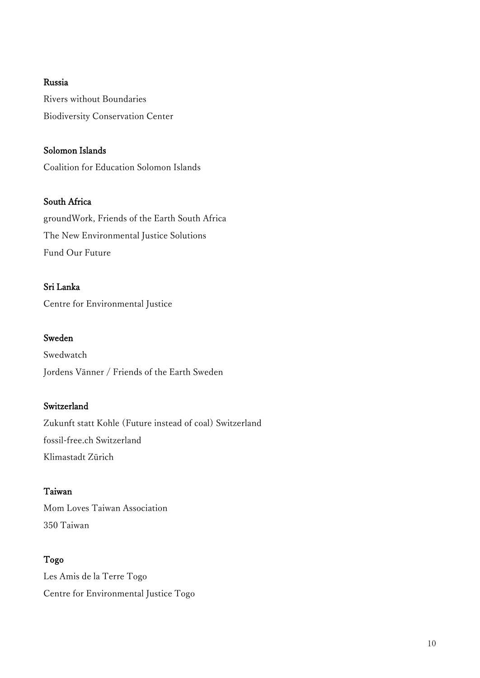### Russia

Rivers without Boundaries Biodiversity Conservation Center

# Solomon Islands

Coalition for Education Solomon Islands

### South Africa

groundWork, Friends of the Earth South Africa The New Environmental Justice Solutions Fund Our Future

### Sri Lanka

Centre for Environmental Justice

### Sweden

Swedwatch Jordens Vänner / Friends of the Earth Sweden

# Switzerland

Zukunft statt Kohle (Future instead of coal) Switzerland fossil-free.ch Switzerland Klimastadt Zürich

### Taiwan

Mom Loves Taiwan Association 350 Taiwan

# Togo

Les Amis de la Terre Togo Centre for Environmental Justice Togo